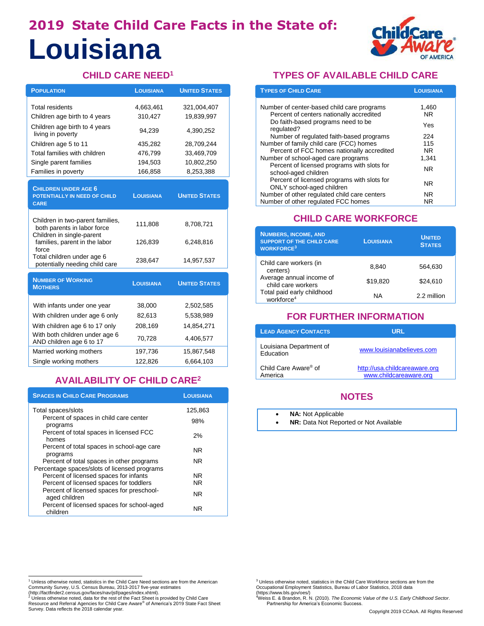# **2019 State Child Care Facts in the State of: Louisiana**



### **CHILD CARE NEED<sup>1</sup>**

| <b>POPULATION</b>                                                                            | <b>LOUISIANA</b> | <b>UNITED STATES</b> |
|----------------------------------------------------------------------------------------------|------------------|----------------------|
| <b>Total residents</b>                                                                       | 4,663,461        | 321,004,407          |
| Children age birth to 4 years                                                                | 310,427          | 19,839,997           |
| Children age birth to 4 years<br>living in poverty                                           | 94,239           | 4,390,252            |
| Children age 5 to 11                                                                         | 435,282          | 28,709,244           |
| Total families with children                                                                 | 476,799          | 33,469,709           |
| Single parent families                                                                       | 194,503          | 10,802,250           |
| Families in poverty                                                                          | 166,858          | 8,253,388            |
| <b>CHILDREN UNDER AGE 6</b><br>POTENTIALLY IN NEED OF CHILD<br><b>CARE</b>                   | <b>LOUISIANA</b> | <b>UNITED STATES</b> |
| Children in two-parent families,<br>both parents in labor force<br>Children in single-parent | 111,808          | 8,708,721            |
| families, parent in the labor<br>force                                                       | 126,839          | 6,248,816            |
| Total children under age 6<br>potentially needing child care                                 | 238,647          | 14,957,537           |
| <b>NUMBER OF WORKING</b><br><b>MOTHERS</b>                                                   | <b>LOUISIANA</b> | <b>UNITED STATES</b> |
| With infants under one year                                                                  | 38,000           | 2,502,585            |
| With children under age 6 only                                                               | 82,613           | 5,538,989            |
| With children age 6 to 17 only                                                               | 208,169          | 14,854,271           |
| With both children under age 6<br>AND children age 6 to 17                                   | 70,728           | 4,406,577            |
| Married working mothers                                                                      | 197,736          | 15,867,548           |
| Single working mothers                                                                       | 122,826          | 6,664,103            |

# **AVAILABILITY OF CHILD CARE<sup>2</sup>**

| <b>SPACES IN CHILD CARE PROGRAMS</b>                                                      | <b>LOUISIANA</b> |
|-------------------------------------------------------------------------------------------|------------------|
| Total spaces/slots                                                                        | 125.863          |
| Percent of spaces in child care center<br>programs                                        | 98%              |
| Percent of total spaces in licensed FCC<br>homes                                          | 2%               |
| Percent of total spaces in school-age care<br>programs                                    | NR.              |
| Percent of total spaces in other programs<br>Percentage spaces/slots of licensed programs | NR.              |
| Percent of licensed spaces for infants                                                    | NR.              |
| Percent of licensed spaces for toddlers                                                   | NR.              |
| Percent of licensed spaces for preschool-<br>aged children                                | NR.              |
| Percent of licensed spaces for school-aged<br>children                                    | NR.              |

#### **TYPES OF AVAILABLE CHILD CARE**

| <b>TYPES OF CHILD CARE</b>                                               | <b>LOUISIANA</b> |
|--------------------------------------------------------------------------|------------------|
| Number of center-based child care programs                               | 1,460            |
| Percent of centers nationally accredited                                 | NR.              |
| Do faith-based programs need to be<br>regulated?                         | Yes              |
| Number of regulated faith-based programs                                 | 224              |
| Number of family child care (FCC) homes                                  | 115              |
| Percent of FCC homes nationally accredited                               | NR.              |
| Number of school-aged care programs                                      | 1.341            |
| Percent of licensed programs with slots for<br>school-aged children      | NR.              |
| Percent of licensed programs with slots for<br>ONLY school-aged children | NR.              |
| Number of other regulated child care centers                             | NR.              |
| Number of other regulated FCC homes                                      | NR.              |

#### **CHILD CARE WORKFORCE**

| <b>NUMBERS, INCOME, AND</b><br><b>SUPPORT OF THE CHILD CARE</b><br><b>WORKFORCE<sup>3</sup></b> | <b>LOUISIANA</b> | <b>UNITED</b><br><b>STATES</b> |
|-------------------------------------------------------------------------------------------------|------------------|--------------------------------|
| Child care workers (in<br>centers)                                                              | 8.840            | 564,630                        |
| Average annual income of<br>child care workers                                                  | \$19,820         | \$24,610                       |
| Total paid early childhood<br>workforce <sup>4</sup>                                            | ΝA               | 2.2 million                    |

## **FOR FURTHER INFORMATION**

| <b>LEAD AGENCY CONTACTS</b>                 | URL                                                     |
|---------------------------------------------|---------------------------------------------------------|
| Louisiana Department of<br>Education        | www.louisianabelieves.com                               |
| Child Care Aware <sup>®</sup> of<br>America | http://usa.childcareaware.org<br>www.childcareaware.org |

### **NOTES**

- **NA: Not Applicable**
- **NR:** Data Not Reported or Not Available

<sup>1&</sup>lt;br><sup>1</sup> Unless otherwise noted, statistics in the Child Care Need sections are from the American

Community Survey, U.S. Census Bureau, 2013-2017 five-year estimates<br>(http://factfinder2.census.gov/faces/nav/jsf/pages/index.xhtml).<br><sup>2</sup> Unless otherwise noted, data for the rest of the Fact Sheet is provided by Child Care Survey. Data reflects the 2018 calendar year.

<sup>&</sup>lt;sup>3</sup> Unless otherwise noted, statistics in the Child Care Workforce sections are from the Occupational Employment Statistics, Bureau of Labor Statistics, 2018 data (https://www.bls.gov/oes/)

<sup>4</sup>Weiss E. & Brandon, R. N. (2010). *The Economic Value of the U.S. Early Childhood Sector*. Partnership for America's Economic Success.